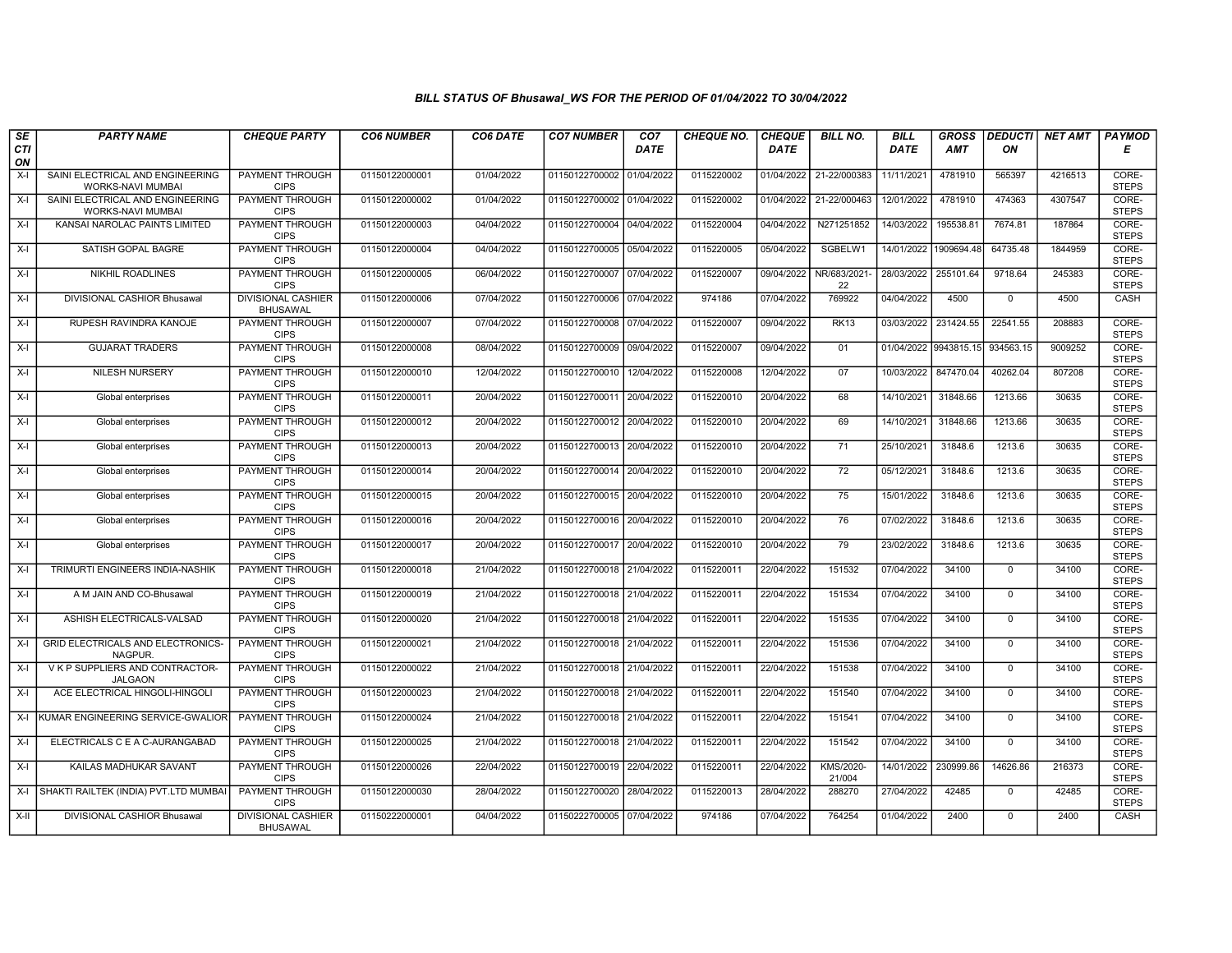| SE               | <b>PARTY NAME</b>                                            | <b>CHEQUE PARTY</b>                          | <b>CO6 NUMBER</b> | CO6 DATE   | <b>CO7 NUMBER</b>         | CO <sub>7</sub> | <b>CHEQUE NO.</b> | <b>CHEQUE</b> | <b>BILL NO.</b>     | <b>BILL</b>           | <b>GROSS</b> | <b>DEDUCTI</b> | <b>NET AMT</b> | <b>PAYMOD</b>         |
|------------------|--------------------------------------------------------------|----------------------------------------------|-------------------|------------|---------------------------|-----------------|-------------------|---------------|---------------------|-----------------------|--------------|----------------|----------------|-----------------------|
| <b>CTI</b><br>ON |                                                              |                                              |                   |            |                           | DATE            |                   | <b>DATE</b>   |                     | <b>DATE</b>           | <b>AMT</b>   | ON             |                | Е                     |
| X-I              | SAINI ELECTRICAL AND ENGINEERING<br>WORKS-NAVI MUMBAI        | <b>PAYMENT THROUGH</b><br><b>CIPS</b>        | 01150122000001    | 01/04/2022 | 01150122700002 01/04/2022 |                 | 0115220002        | 01/04/2022    | 21-22/000383        | 11/11/2021            | 4781910      | 565397         | 4216513        | CORE-<br><b>STEPS</b> |
| $X-I$            | SAINI ELECTRICAL AND ENGINEERING<br><b>WORKS-NAVI MUMBAI</b> | PAYMENT THROUGH<br><b>CIPS</b>               | 01150122000002    | 01/04/2022 | 01150122700002 01/04/2022 |                 | 0115220002        | 01/04/2022    | 21-22/000463        | 12/01/2022            | 4781910      | 474363         | 4307547        | CORE-<br><b>STEPS</b> |
| X-I              | KANSAI NAROLAC PAINTS LIMITED                                | PAYMENT THROUGH<br><b>CIPS</b>               | 01150122000003    | 04/04/2022 | 01150122700004 04/04/2022 |                 | 0115220004        | 04/04/2022    | N271251852          | 14/03/2022            | 195538.8     | 7674.81        | 187864         | CORE-<br><b>STEPS</b> |
| $X-I$            | SATISH GOPAL BAGRE                                           | PAYMENT THROUGH<br><b>CIPS</b>               | 01150122000004    | 04/04/2022 | 01150122700005 05/04/2022 |                 | 0115220005        | 05/04/2022    | SGBELW1             | 14/01/2022            | 1909694.48   | 64735.48       | 1844959        | CORE-<br><b>STEPS</b> |
| $X-I$            | NIKHIL ROADLINES                                             | PAYMENT THROUGH<br><b>CIPS</b>               | 01150122000005    | 06/04/2022 | 01150122700007 07/04/2022 |                 | 0115220007        | 09/04/2022    | NR/683/2021-<br>22  | 28/03/2022            | 255101.64    | 9718.64        | 245383         | CORE-<br><b>STEPS</b> |
| $X-I$            | <b>DIVISIONAL CASHIOR Bhusawal</b>                           | <b>DIVISIONAL CASHIER</b><br><b>BHUSAWAL</b> | 01150122000006    | 07/04/2022 | 01150122700006 07/04/2022 |                 | 974186            | 07/04/2022    | 769922              | 04/04/2022            | 4500         | $\Omega$       | 4500           | CASH                  |
| $X-I$            | RUPESH RAVINDRA KANOJE                                       | PAYMENT THROUGH<br><b>CIPS</b>               | 01150122000007    | 07/04/2022 | 01150122700008 07/04/2022 |                 | 0115220007        | 09/04/2022    | <b>RK13</b>         | 03/03/2022            | 231424.55    | 22541.55       | 208883         | CORE-<br><b>STEPS</b> |
| $X-I$            | <b>GUJARAT TRADERS</b>                                       | PAYMENT THROUGH<br><b>CIPS</b>               | 01150122000008    | 08/04/2022 | 01150122700009 09/04/2022 |                 | 0115220007        | 09/04/2022    | 01                  | 01/04/2022 9943815.15 |              | 934563.15      | 9009252        | CORE-<br><b>STEPS</b> |
| $X-I$            | NILESH NURSERY                                               | PAYMENT THROUGH<br><b>CIPS</b>               | 01150122000010    | 12/04/2022 | 01150122700010 12/04/2022 |                 | 0115220008        | 12/04/2022    | 07                  | 10/03/2022            | 847470.04    | 40262.04       | 807208         | CORE-<br><b>STEPS</b> |
| $X-I$            | Global enterprises                                           | PAYMENT THROUGH<br><b>CIPS</b>               | 01150122000011    | 20/04/2022 | 01150122700011 20/04/2022 |                 | 0115220010        | 20/04/2022    | 68                  | 14/10/2021            | 31848.66     | 1213.66        | 30635          | CORE-<br><b>STEPS</b> |
| $X-I$            | Global enterprises                                           | PAYMENT THROUGH<br><b>CIPS</b>               | 01150122000012    | 20/04/2022 | 01150122700012 20/04/2022 |                 | 0115220010        | 20/04/2022    | 69                  | 14/10/2021            | 31848.66     | 1213.66        | 30635          | CORE-<br><b>STEPS</b> |
| $X-I$            | Global enterprises                                           | PAYMENT THROUGH<br><b>CIPS</b>               | 01150122000013    | 20/04/2022 | 01150122700013 20/04/2022 |                 | 0115220010        | 20/04/2022    | 71                  | 25/10/2021            | 31848.6      | 1213.6         | 30635          | CORE-<br><b>STEPS</b> |
| $X-I$            | Global enterprises                                           | PAYMENT THROUGH<br><b>CIPS</b>               | 01150122000014    | 20/04/2022 | 01150122700014 20/04/2022 |                 | 0115220010        | 20/04/2022    | $\overline{72}$     | 05/12/2021            | 31848.6      | 1213.6         | 30635          | CORE-<br><b>STEPS</b> |
| $X-I$            | Global enterprises                                           | <b>PAYMENT THROUGH</b><br><b>CIPS</b>        | 01150122000015    | 20/04/2022 | 01150122700015 20/04/2022 |                 | 0115220010        | 20/04/2022    | 75                  | 15/01/2022            | 31848.6      | 1213.6         | 30635          | CORE-<br><b>STEPS</b> |
| $X-I$            | Global enterprises                                           | PAYMENT THROUGH<br><b>CIPS</b>               | 01150122000016    | 20/04/2022 | 01150122700016 20/04/2022 |                 | 0115220010        | 20/04/2022    | 76                  | 07/02/2022            | 31848.6      | 1213.6         | 30635          | CORE-<br><b>STEPS</b> |
| $X-I$            | Global enterprises                                           | PAYMENT THROUGH<br><b>CIPS</b>               | 01150122000017    | 20/04/2022 | 01150122700017 20/04/2022 |                 | 0115220010        | 20/04/2022    | 79                  | 23/02/2022            | 31848.6      | 1213.6         | 30635          | CORE-<br><b>STEPS</b> |
| X-I              | TRIMURTI ENGINEERS INDIA-NASHIK                              | PAYMENT THROUGH<br><b>CIPS</b>               | 01150122000018    | 21/04/2022 | 01150122700018 21/04/2022 |                 | 0115220011        | 22/04/2022    | 151532              | 07/04/2022            | 34100        | $\mathbf 0$    | 34100          | CORE-<br><b>STEPS</b> |
| $X-I$            | A M JAIN AND CO-Bhusawal                                     | <b>PAYMENT THROUGH</b><br><b>CIPS</b>        | 01150122000019    | 21/04/2022 | 01150122700018 21/04/2022 |                 | 0115220011        | 22/04/2022    | 151534              | 07/04/2022            | 34100        | $\mathbf 0$    | 34100          | CORE-<br><b>STEPS</b> |
| $X-I$            | ASHISH ELECTRICALS-VALSAD                                    | PAYMENT THROUGH<br><b>CIPS</b>               | 01150122000020    | 21/04/2022 | 01150122700018 21/04/2022 |                 | 0115220011        | 22/04/2022    | 151535              | 07/04/2022            | 34100        | $\mathbf 0$    | 34100          | CORE-<br><b>STEPS</b> |
| X-I              | GRID ELECTRICALS AND ELECTRONICS-<br>NAGPUR.                 | PAYMENT THROUGH<br><b>CIPS</b>               | 01150122000021    | 21/04/2022 | 01150122700018 21/04/2022 |                 | 0115220011        | 22/04/2022    | 151536              | 07/04/2022            | 34100        | $\Omega$       | 34100          | CORE-<br><b>STEPS</b> |
| $X-I$            | V K P SUPPLIERS AND CONTRACTOR-<br><b>JALGAON</b>            | PAYMENT THROUGH<br><b>CIPS</b>               | 01150122000022    | 21/04/2022 | 01150122700018 21/04/2022 |                 | 0115220011        | 22/04/2022    | 151538              | 07/04/2022            | 34100        | $\mathbf 0$    | 34100          | CORE-<br><b>STEPS</b> |
| $X-I$            | ACE ELECTRICAL HINGOLI-HINGOLI                               | PAYMENT THROUGH<br><b>CIPS</b>               | 01150122000023    | 21/04/2022 | 01150122700018 21/04/2022 |                 | 0115220011        | 22/04/2022    | 151540              | 07/04/2022            | 34100        | $\Omega$       | 34100          | CORE-<br><b>STEPS</b> |
| $X-I$            | KUMAR ENGINEERING SERVICE-GWALIOR                            | PAYMENT THROUGH<br><b>CIPS</b>               | 01150122000024    | 21/04/2022 | 01150122700018 21/04/2022 |                 | 0115220011        | 22/04/2022    | 151541              | 07/04/2022            | 34100        | $\mathbf 0$    | 34100          | CORE-<br><b>STEPS</b> |
| $X-I$            | ELECTRICALS C E A C-AURANGABAD                               | PAYMENT THROUGH<br><b>CIPS</b>               | 01150122000025    | 21/04/2022 | 01150122700018 21/04/2022 |                 | 0115220011        | 22/04/2022    | 151542              | 07/04/2022            | 34100        | $\Omega$       | 34100          | CORE-<br><b>STEPS</b> |
| $X-I$            | KAILAS MADHUKAR SAVANT                                       | PAYMENT THROUGH<br><b>CIPS</b>               | 01150122000026    | 22/04/2022 | 01150122700019 22/04/2022 |                 | 0115220011        | 22/04/2022    | KMS/2020-<br>21/004 | 14/01/2022            | 230999.86    | 14626.86       | 216373         | CORE-<br><b>STEPS</b> |
| $X-I$            | SHAKTI RAILTEK (INDIA) PVT.LTD MUMBAI                        | <b>PAYMENT THROUGH</b><br><b>CIPS</b>        | 01150122000030    | 28/04/2022 | 01150122700020 28/04/2022 |                 | 0115220013        | 28/04/2022    | 288270              | 27/04/2022            | 42485        | $\mathsf{O}$   | 42485          | CORE-<br><b>STEPS</b> |
| X-II             | DIVISIONAL CASHIOR Bhusawal                                  | DIVISIONAL CASHIER<br><b>BHUSAWAL</b>        | 01150222000001    | 04/04/2022 | 01150222700005 07/04/2022 |                 | 974186            | 07/04/2022    | 764254              | 01/04/2022            | 2400         | $\mathbf 0$    | 2400           | CASH                  |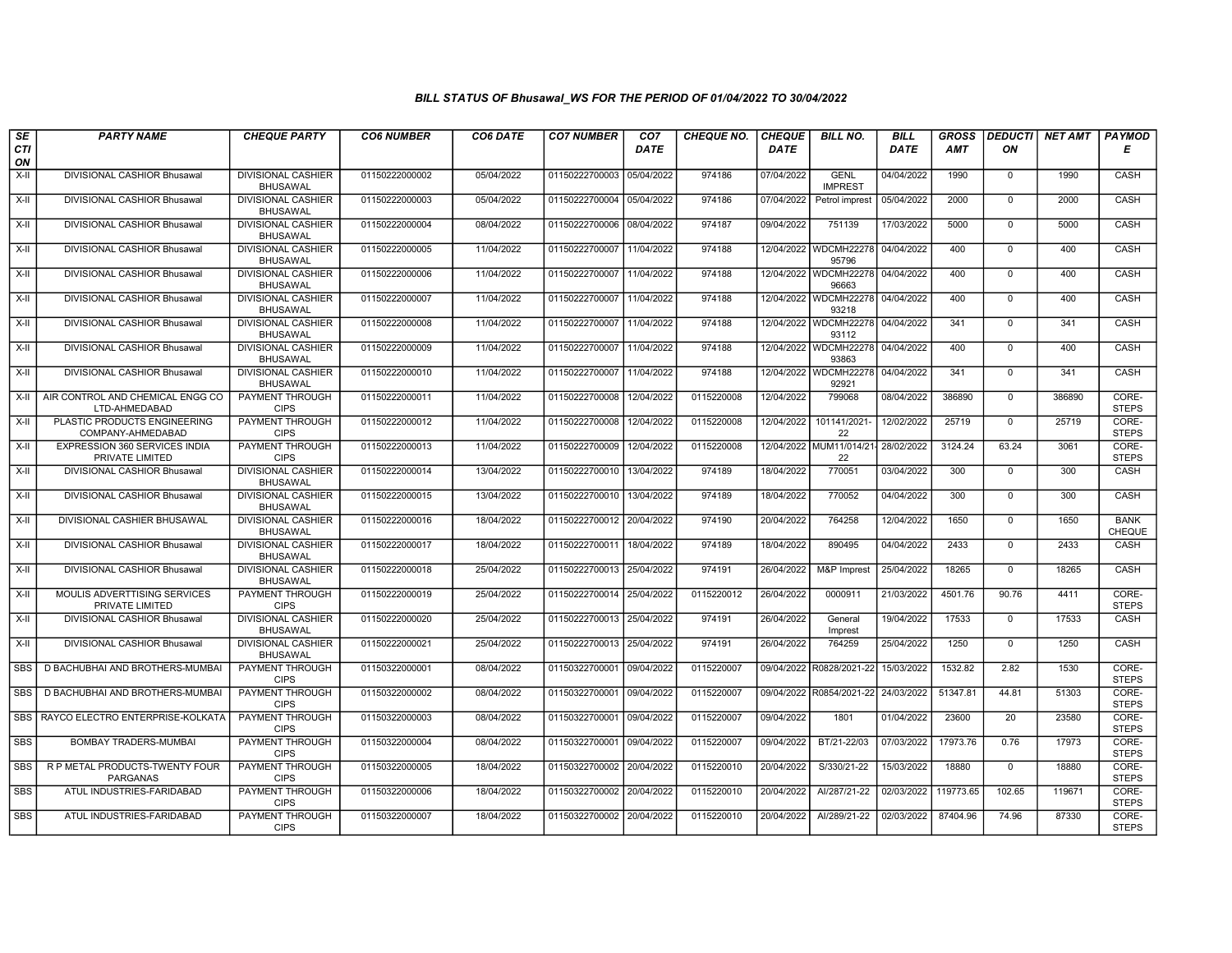| SE         | <b>PARTY NAME</b>                                       | <b>CHEQUE PARTY</b>                          | <b>CO6 NUMBER</b> | CO6 DATE   | <b>CO7 NUMBER</b>         | CO <sub>7</sub> | <b>CHEQUE NO.</b> | <b>CHEQUE</b> | <b>BILL NO.</b>                               | <b>BILL</b> | <b>GROSS</b> | <b>DEDUCTI</b> | NET AMT | <b>PAYMOD</b>                |
|------------|---------------------------------------------------------|----------------------------------------------|-------------------|------------|---------------------------|-----------------|-------------------|---------------|-----------------------------------------------|-------------|--------------|----------------|---------|------------------------------|
| CTI<br>ON  |                                                         |                                              |                   |            |                           | <b>DATE</b>     |                   | <b>DATE</b>   |                                               | <b>DATE</b> | <b>AMT</b>   | ON             |         | Е                            |
| $X-H$      | DIVISIONAL CASHIOR Bhusawal                             | <b>DIVISIONAL CASHIER</b><br><b>BHUSAWAL</b> | 01150222000002    | 05/04/2022 | 01150222700003 05/04/2022 |                 | 974186            | 07/04/2022    | <b>GENL</b><br><b>IMPREST</b>                 | 04/04/2022  | 1990         | $\mathbf 0$    | 1990    | <b>CASH</b>                  |
| X-II       | DIVISIONAL CASHIOR Bhusawal                             | <b>DIVISIONAL CASHIER</b><br><b>BHUSAWAL</b> | 01150222000003    | 05/04/2022 | 01150222700004 05/04/2022 |                 | 974186            | 07/04/2022    | Petrol imprest                                | 05/04/2022  | 2000         | $\mathbf{0}$   | 2000    | CASH                         |
| X-II       | DIVISIONAL CASHIOR Bhusawal                             | <b>DIVISIONAL CASHIER</b><br><b>BHUSAWAL</b> | 01150222000004    | 08/04/2022 | 01150222700006 08/04/2022 |                 | 974187            | 09/04/2022    | 751139                                        | 17/03/2022  | 5000         | $\mathbf{0}$   | 5000    | CASH                         |
| X-II       | DIVISIONAL CASHIOR Bhusawal                             | <b>DIVISIONAL CASHIER</b><br><b>BHUSAWAL</b> | 01150222000005    | 11/04/2022 | 01150222700007            | 11/04/2022      | 974188            |               | 12/04/2022 WDCMH22278<br>95796                | 04/04/2022  | 400          | $\Omega$       | 400     | CASH                         |
| $X-H$      | DIVISIONAL CASHIOR Bhusawal                             | <b>DIVISIONAL CASHIER</b><br><b>BHUSAWAL</b> | 01150222000006    | 11/04/2022 | 01150222700007 11/04/2022 |                 | 974188            |               | 12/04/2022   WDCMH22278   04/04/2022<br>96663 |             | 400          | $\mathbf 0$    | 400     | CASH                         |
| $X-H$      | DIVISIONAL CASHIOR Bhusawal                             | <b>DIVISIONAL CASHIER</b><br><b>BHUSAWAL</b> | 01150222000007    | 11/04/2022 | 01150222700007 11/04/2022 |                 | 974188            |               | 12/04/2022 WDCMH22278 04/04/2022<br>93218     |             | 400          | $\Omega$       | 400     | CASH                         |
| X-II       | DIVISIONAL CASHIOR Bhusawal                             | <b>DIVISIONAL CASHIER</b><br><b>BHUSAWAL</b> | 01150222000008    | 11/04/2022 | 01150222700007            | 11/04/2022      | 974188            |               | 12/04/2022 WDCMH22278<br>93112                | 04/04/2022  | 341          | $\mathbf 0$    | 341     | CASH                         |
| X-II       | DIVISIONAL CASHIOR Bhusawal                             | <b>DIVISIONAL CASHIER</b><br><b>BHUSAWAL</b> | 01150222000009    | 11/04/2022 | 01150222700007            | 11/04/2022      | 974188            |               | 12/04/2022 WDCMH22278<br>93863                | 04/04/2022  | 400          | $\mathbf 0$    | 400     | CASH                         |
| X-II       | DIVISIONAL CASHIOR Bhusawal                             | <b>DIVISIONAL CASHIER</b><br><b>BHUSAWAL</b> | 01150222000010    | 11/04/2022 | 01150222700007            | 11/04/2022      | 974188            | 12/04/2022    | <b>WDCMH22278</b><br>92921                    | 04/04/2022  | 341          | $\mathbf 0$    | 341     | CASH                         |
| $X-H$      | AIR CONTROL AND CHEMICAL ENGG CO<br>LTD-AHMEDABAD       | <b>PAYMENT THROUGH</b><br><b>CIPS</b>        | 01150222000011    | 11/04/2022 | 01150222700008            | 12/04/2022      | 0115220008        | 12/04/2022    | 799068                                        | 08/04/2022  | 386890       | $\mathbf 0$    | 386890  | CORE-<br><b>STEPS</b>        |
| $X-II$     | PLASTIC PRODUCTS ENGINEERING<br>COMPANY-AHMEDABAD       | PAYMENT THROUGH<br><b>CIPS</b>               | 01150222000012    | 11/04/2022 | 01150222700008            | 12/04/2022      | 0115220008        | 12/04/2022    | 101141/2021-<br>22                            | 12/02/2022  | 25719        | $\mathbf 0$    | 25719   | CORE-<br><b>STEPS</b>        |
| $X-II$     | <b>EXPRESSION 360 SERVICES INDIA</b><br>PRIVATE LIMITED | PAYMENT THROUGH<br><b>CIPS</b>               | 01150222000013    | 11/04/2022 | 01150222700009            | 12/04/2022      | 0115220008        |               | 12/04/2022 MUM11/014/21-<br>22                | 28/02/2022  | 3124.24      | 63.24          | 3061    | CORE-<br><b>STEPS</b>        |
| X-II       | DIVISIONAL CASHIOR Bhusawal                             | <b>DIVISIONAL CASHIER</b><br><b>BHUSAWAL</b> | 01150222000014    | 13/04/2022 | 01150222700010 13/04/2022 |                 | 974189            | 18/04/2022    | 770051                                        | 03/04/2022  | 300          | $\mathbf 0$    | 300     | CASH                         |
| $X-H$      | DIVISIONAL CASHIOR Bhusawal                             | <b>DIVISIONAL CASHIER</b><br><b>BHUSAWAL</b> | 01150222000015    | 13/04/2022 | 01150222700010 13/04/2022 |                 | 974189            | 18/04/2022    | 770052                                        | 04/04/2022  | 300          | $\mathbf 0$    | 300     | CASH                         |
| X-II       | DIVISIONAL CASHIER BHUSAWAL                             | <b>DIVISIONAL CASHIER</b><br><b>BHUSAWAL</b> | 01150222000016    | 18/04/2022 | 01150222700012 20/04/2022 |                 | 974190            | 20/04/2022    | 764258                                        | 12/04/2022  | 1650         | $\mathbf{0}$   | 1650    | <b>BANK</b><br><b>CHEQUE</b> |
| $X-II$     | DIVISIONAL CASHIOR Bhusawal                             | <b>DIVISIONAL CASHIER</b><br><b>BHUSAWAL</b> | 01150222000017    | 18/04/2022 | 01150222700011            | 18/04/2022      | 974189            | 18/04/2022    | 890495                                        | 04/04/2022  | 2433         | $\overline{0}$ | 2433    | CASH                         |
| X-II       | DIVISIONAL CASHIOR Bhusawal                             | <b>DIVISIONAL CASHIER</b><br><b>BHUSAWAL</b> | 01150222000018    | 25/04/2022 | 01150222700013 25/04/2022 |                 | 974191            | 26/04/2022    | M&P Imprest                                   | 25/04/2022  | 18265        | $\mathbf{0}$   | 18265   | CASH                         |
| $X-H$      | MOULIS ADVERTTISING SERVICES<br>PRIVATE LIMITED         | <b>PAYMENT THROUGH</b><br><b>CIPS</b>        | 01150222000019    | 25/04/2022 | 01150222700014            | 25/04/2022      | 0115220012        | 26/04/2022    | 0000911                                       | 21/03/2022  | 4501.76      | 90.76          | 4411    | CORE-<br><b>STEPS</b>        |
| $X-H$      | <b>DIVISIONAL CASHIOR Bhusawal</b>                      | <b>DIVISIONAL CASHIER</b><br><b>BHUSAWAL</b> | 01150222000020    | 25/04/2022 | 01150222700013 25/04/2022 |                 | 974191            | 26/04/2022    | General<br>Imprest                            | 19/04/2022  | 17533        | $\mathbf 0$    | 17533   | CASH                         |
| X-II       | DIVISIONAL CASHIOR Bhusawal                             | DIVISIONAL CASHIER<br><b>BHUSAWAL</b>        | 01150222000021    | 25/04/2022 | 01150222700013            | 25/04/2022      | 974191            | 26/04/2022    | 764259                                        | 25/04/2022  | 1250         | $\Omega$       | 1250    | CASH                         |
| <b>SBS</b> | D BACHUBHAI AND BROTHERS-MUMBAI                         | PAYMENT THROUGH<br><b>CIPS</b>               | 01150322000001    | 08/04/2022 | 01150322700001 09/04/2022 |                 | 0115220007        |               | 09/04/2022 R0828/2021-22                      | 15/03/2022  | 1532.82      | 2.82           | 1530    | CORE-<br><b>STEPS</b>        |
| SBS        | D BACHUBHAI AND BROTHERS-MUMBAI                         | <b>PAYMENT THROUGH</b><br><b>CIPS</b>        | 01150322000002    | 08/04/2022 | 01150322700001            | 09/04/2022      | 0115220007        |               | 09/04/2022 R0854/2021-22                      | 24/03/2022  | 51347.81     | 44.81          | 51303   | CORE-<br><b>STEPS</b>        |
| <b>SBS</b> | RAYCO ELECTRO ENTERPRISE-KOLKATA                        | PAYMENT THROUGH<br><b>CIPS</b>               | 01150322000003    | 08/04/2022 | 01150322700001            | 09/04/2022      | 0115220007        | 09/04/2022    | 1801                                          | 01/04/2022  | 23600        | 20             | 23580   | CORE-<br><b>STEPS</b>        |
| <b>SBS</b> | <b>BOMBAY TRADERS-MUMBAI</b>                            | PAYMENT THROUGH<br><b>CIPS</b>               | 01150322000004    | 08/04/2022 | 01150322700001            | 09/04/2022      | 0115220007        | 09/04/2022    | BT/21-22/03                                   | 07/03/2022  | 17973.76     | 0.76           | 17973   | CORE-<br><b>STEPS</b>        |
| <b>SBS</b> | R P METAL PRODUCTS-TWENTY FOUR<br><b>PARGANAS</b>       | <b>PAYMENT THROUGH</b><br><b>CIPS</b>        | 01150322000005    | 18/04/2022 | 01150322700002 20/04/2022 |                 | 0115220010        | 20/04/2022    | S/330/21-22                                   | 15/03/2022  | 18880        | $\Omega$       | 18880   | CORE-<br><b>STEPS</b>        |
| <b>SBS</b> | ATUL INDUSTRIES-FARIDABAD                               | <b>PAYMENT THROUGH</b><br><b>CIPS</b>        | 01150322000006    | 18/04/2022 | 01150322700002 20/04/2022 |                 | 0115220010        | 20/04/2022    | Al/287/21-22                                  | 02/03/2022  | 119773.65    | 102.65         | 119671  | CORE-<br><b>STEPS</b>        |
| SBS        | ATUL INDUSTRIES-FARIDABAD                               | PAYMENT THROUGH<br><b>CIPS</b>               | 01150322000007    | 18/04/2022 | 01150322700002            | 20/04/2022      | 0115220010        | 20/04/2022    | Al/289/21-22                                  | 02/03/2022  | 87404.96     | 74.96          | 87330   | CORE-<br><b>STEPS</b>        |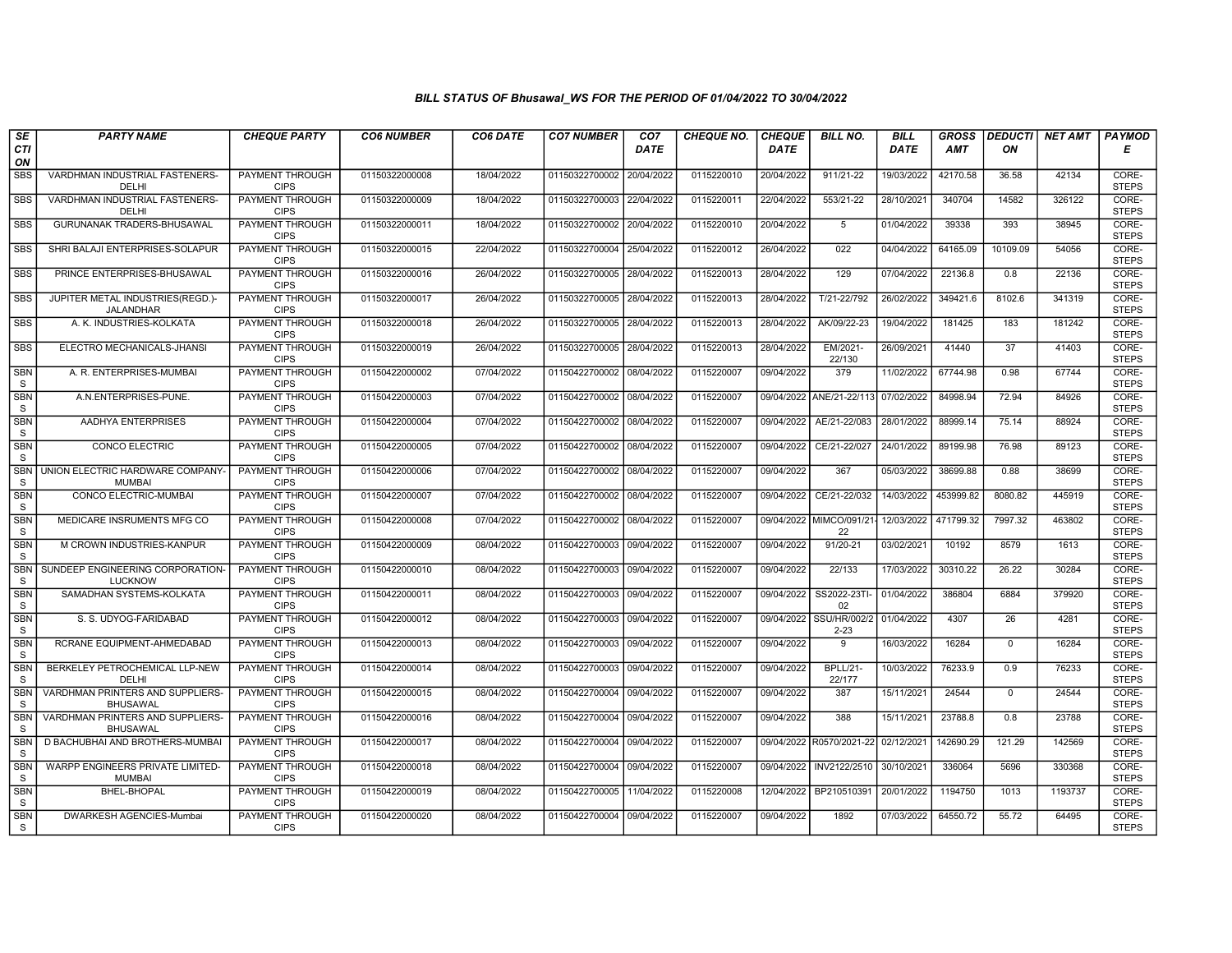| SE                         | <b>PARTY NAME</b>                                   | <b>CHEQUE PARTY</b>                   | <b>CO6 NUMBER</b> | CO6 DATE   | <b>CO7 NUMBER</b>         | CO <sub>7</sub> | <b>CHEQUE NO.</b> | <b>CHEQUE</b> | <b>BILL NO.</b>                     | <b>BILL</b> | <b>GROSS</b> | <b>DEDUCTI</b> | <b>NET AMT</b> | <b>PAYMOD</b>         |
|----------------------------|-----------------------------------------------------|---------------------------------------|-------------------|------------|---------------------------|-----------------|-------------------|---------------|-------------------------------------|-------------|--------------|----------------|----------------|-----------------------|
| <b>CTI</b><br>ON           |                                                     |                                       |                   |            |                           | <b>DATE</b>     |                   | <b>DATE</b>   |                                     | DATE        | <b>AMT</b>   | ON             |                | Е                     |
| SBS                        | VARDHMAN INDUSTRIAL FASTENERS-<br>DELHI             | PAYMENT THROUGH<br><b>CIPS</b>        | 01150322000008    | 18/04/2022 | 01150322700002            | 20/04/2022      | 0115220010        | 20/04/2022    | 911/21-22                           | 19/03/2022  | 42170.58     | 36.58          | 42134          | CORE-<br><b>STEPS</b> |
| <b>SBS</b>                 | VARDHMAN INDUSTRIAL FASTENERS-<br>DELHI             | <b>PAYMENT THROUGH</b><br><b>CIPS</b> | 01150322000009    | 18/04/2022 | 01150322700003            | 22/04/2022      | 0115220011        | 22/04/2022    | 553/21-22                           | 28/10/2021  | 340704       | 14582          | 326122         | CORE-<br><b>STEPS</b> |
| <b>SBS</b>                 | <b>GURUNANAK TRADERS-BHUSAWAL</b>                   | PAYMENT THROUGH<br><b>CIPS</b>        | 01150322000011    | 18/04/2022 | 01150322700002            | 20/04/2022      | 0115220010        | 20/04/2022    | 5                                   | 01/04/2022  | 39338        | 393            | 38945          | CORE-<br><b>STEPS</b> |
| <b>SBS</b>                 | SHRI BALAJI ENTERPRISES-SOLAPUR                     | <b>PAYMENT THROUGH</b><br><b>CIPS</b> | 01150322000015    | 22/04/2022 | 01150322700004            | 25/04/2022      | 0115220012        | 26/04/2022    | 022                                 | 04/04/2022  | 64165.09     | 10109.09       | 54056          | CORE-<br><b>STEPS</b> |
| <b>SBS</b>                 | PRINCE ENTERPRISES-BHUSAWAL                         | <b>PAYMENT THROUGH</b><br><b>CIPS</b> | 01150322000016    | 26/04/2022 | 01150322700005 28/04/2022 |                 | 0115220013        | 28/04/2022    | 129                                 | 07/04/2022  | 22136.8      | 0.8            | 22136          | CORE-<br><b>STEPS</b> |
| <b>SBS</b>                 | JUPITER METAL INDUSTRIES(REGD.)-<br>JALANDHAR       | <b>PAYMENT THROUGH</b><br><b>CIPS</b> | 01150322000017    | 26/04/2022 | 01150322700005 28/04/2022 |                 | 0115220013        | 28/04/2022    | T/21-22/792                         | 26/02/2022  | 349421.6     | 8102.6         | 341319         | CORE-<br><b>STEPS</b> |
| <b>SBS</b>                 | A. K. INDUSTRIES-KOLKATA                            | PAYMENT THROUGH<br><b>CIPS</b>        | 01150322000018    | 26/04/2022 | 01150322700005            | 28/04/2022      | 0115220013        | 28/04/2022    | AK/09/22-23                         | 19/04/2022  | 181425       | 183            | 181242         | CORE-<br><b>STEPS</b> |
| <b>SBS</b>                 | ELECTRO MECHANICALS-JHANSI                          | PAYMENT THROUGH<br><b>CIPS</b>        | 01150322000019    | 26/04/2022 | 01150322700005            | 28/04/2022      | 0115220013        | 28/04/2022    | EM/2021-<br>22/130                  | 26/09/2021  | 41440        | 37             | 41403          | CORE-<br><b>STEPS</b> |
| <b>SBN</b><br>S            | A. R. ENTERPRISES-MUMBAI                            | <b>PAYMENT THROUGH</b><br><b>CIPS</b> | 01150422000002    | 07/04/2022 | 01150422700002 08/04/2022 |                 | 0115220007        | 09/04/2022    | 379                                 | 11/02/2022  | 67744.98     | 0.98           | 67744          | CORE-<br><b>STEPS</b> |
| <b>SBN</b><br><sub>S</sub> | A.N.ENTERPRISES-PUNE.                               | <b>PAYMENT THROUGH</b><br><b>CIPS</b> | 01150422000003    | 07/04/2022 | 01150422700002 08/04/2022 |                 | 0115220007        |               | 09/04/2022 ANE/21-22/113            | 07/02/2022  | 84998.94     | 72.94          | 84926          | CORE-<br><b>STEPS</b> |
| <b>SBN</b><br>S            | AADHYA ENTERPRISES                                  | PAYMENT THROUGH<br><b>CIPS</b>        | 01150422000004    | 07/04/2022 | 01150422700002 08/04/2022 |                 | 0115220007        | 09/04/2022    | AE/21-22/083                        | 28/01/2022  | 88999.14     | 75.14          | 88924          | CORE-<br><b>STEPS</b> |
| <b>SBN</b><br>S            | <b>CONCO ELECTRIC</b>                               | PAYMENT THROUGH<br><b>CIPS</b>        | 01150422000005    | 07/04/2022 | 01150422700002            | 08/04/2022      | 0115220007        | 09/04/2022    | CE/21-22/027                        | 24/01/2022  | 89199.98     | 76.98          | 89123          | CORE-<br><b>STEPS</b> |
| <b>SBN</b><br>S            | UNION ELECTRIC HARDWARE COMPANY<br><b>MUMBAI</b>    | <b>PAYMENT THROUGH</b><br><b>CIPS</b> | 01150422000006    | 07/04/2022 | 01150422700002            | 08/04/2022      | 0115220007        | 09/04/2022    | 367                                 | 05/03/2022  | 38699.88     | 0.88           | 38699          | CORE-<br><b>STEPS</b> |
| <b>SBN</b><br>$\mathsf S$  | <b>CONCO ELECTRIC-MUMBAI</b>                        | <b>PAYMENT THROUGH</b><br><b>CIPS</b> | 01150422000007    | 07/04/2022 | 01150422700002 08/04/2022 |                 | 0115220007        |               | 09/04/2022 CE/21-22/032             | 14/03/2022  | 453999.82    | 8080.82        | 445919         | CORE-<br><b>STEPS</b> |
| SBN<br><sub>S</sub>        | MEDICARE INSRUMENTS MFG CO                          | PAYMENT THROUGH<br><b>CIPS</b>        | 01150422000008    | 07/04/2022 | 01150422700002 08/04/2022 |                 | 0115220007        |               | 09/04/2022 MIMCO/091/21-<br>22      | 12/03/2022  | 471799.32    | 7997.32        | 463802         | CORE-<br><b>STEPS</b> |
| <b>SBN</b><br>S            | M CROWN INDUSTRIES-KANPUR                           | PAYMENT THROUGH<br><b>CIPS</b>        | 01150422000009    | 08/04/2022 | 01150422700003 09/04/2022 |                 | 0115220007        | 09/04/2022    | 91/20-21                            | 03/02/2021  | 10192        | 8579           | 1613           | CORE-<br><b>STEPS</b> |
| <b>SBN</b><br>S            | SUNDEEP ENGINEERING CORPORATION-<br><b>LUCKNOW</b>  | PAYMENT THROUGH<br><b>CIPS</b>        | 01150422000010    | 08/04/2022 | 01150422700003            | 09/04/2022      | 0115220007        | 09/04/2022    | 22/133                              | 17/03/2022  | 30310.22     | 26.22          | 30284          | CORE-<br><b>STEPS</b> |
| <b>SBN</b><br>S            | SAMADHAN SYSTEMS-KOLKATA                            | <b>PAYMENT THROUGH</b><br><b>CIPS</b> | 01150422000011    | 08/04/2022 | 01150422700003            | 09/04/2022      | 0115220007        | 09/04/2022    | SS2022-23TI-<br>02                  | 01/04/2022  | 386804       | 6884           | 379920         | CORE-<br><b>STEPS</b> |
| <b>SBN</b><br>S            | S. S. UDYOG-FARIDABAD                               | PAYMENT THROUGH<br><b>CIPS</b>        | 01150422000012    | 08/04/2022 | 01150422700003            | 09/04/2022      | 0115220007        |               | 09/04/2022 SSU/HR/002/2<br>$2 - 23$ | 01/04/2022  | 4307         | 26             | 4281           | CORE-<br><b>STEPS</b> |
| SBN<br>S                   | RCRANE EQUIPMENT-AHMEDABAD                          | <b>PAYMENT THROUGH</b><br><b>CIPS</b> | 01150422000013    | 08/04/2022 | 01150422700003            | 09/04/2022      | 0115220007        | 09/04/2022    | 9                                   | 16/03/2022  | 16284        | $\mathbf 0$    | 16284          | CORE-<br><b>STEPS</b> |
| <b>SBN</b><br><sub>S</sub> | BERKELEY PETROCHEMICAL LLP-NEW<br>DELHI             | <b>PAYMENT THROUGH</b><br><b>CIPS</b> | 01150422000014    | 08/04/2022 | 01150422700003            | 09/04/2022      | 0115220007        | 09/04/2022    | <b>BPLL/21-</b><br>22/177           | 10/03/2022  | 76233.9      | 0.9            | 76233          | CORE-<br><b>STEPS</b> |
| <b>SBN</b><br>S            | VARDHMAN PRINTERS AND SUPPLIERS-<br><b>BHUSAWAL</b> | <b>PAYMENT THROUGH</b><br><b>CIPS</b> | 01150422000015    | 08/04/2022 | 01150422700004            | 09/04/2022      | 0115220007        | 09/04/2022    | 387                                 | 15/11/2021  | 24544        | $\Omega$       | 24544          | CORE-<br><b>STEPS</b> |
| SBN<br><sub>S</sub>        | VARDHMAN PRINTERS AND SUPPLIERS-<br><b>BHUSAWAL</b> | PAYMENT THROUGH<br><b>CIPS</b>        | 01150422000016    | 08/04/2022 | 01150422700004            | 09/04/2022      | 0115220007        | 09/04/2022    | 388                                 | 15/11/2021  | 23788.8      | 0.8            | 23788          | CORE-<br><b>STEPS</b> |
| <b>SBN</b><br>S            | D BACHUBHAI AND BROTHERS-MUMBAI                     | PAYMENT THROUGH<br><b>CIPS</b>        | 01150422000017    | 08/04/2022 | 01150422700004            | 09/04/2022      | 0115220007        |               | 09/04/2022 R0570/2021-22            | 02/12/2021  | 142690.29    | 121.29         | 142569         | CORE-<br><b>STEPS</b> |
| SBN<br><sub>S</sub>        | WARPP ENGINEERS PRIVATE LIMITED-<br><b>MUMBAI</b>   | <b>PAYMENT THROUGH</b><br><b>CIPS</b> | 01150422000018    | 08/04/2022 | 01150422700004 09/04/2022 |                 | 0115220007        | 09/04/2022    | INV2122/2510                        | 30/10/2021  | 336064       | 5696           | 330368         | CORE-<br><b>STEPS</b> |
| <b>SBN</b><br>S            | <b>BHEL-BHOPAL</b>                                  | <b>PAYMENT THROUGH</b><br><b>CIPS</b> | 01150422000019    | 08/04/2022 | 01150422700005            | 11/04/2022      | 0115220008        | 12/04/2022    | BP210510391                         | 20/01/2022  | 1194750      | 1013           | 1193737        | CORE-<br><b>STEPS</b> |
| <b>SBN</b><br>S            | DWARKESH AGENCIES-Mumbai                            | PAYMENT THROUGH<br><b>CIPS</b>        | 01150422000020    | 08/04/2022 | 01150422700004 09/04/2022 |                 | 0115220007        | 09/04/2022    | 1892                                | 07/03/2022  | 64550.72     | 55.72          | 64495          | CORE-<br><b>STEPS</b> |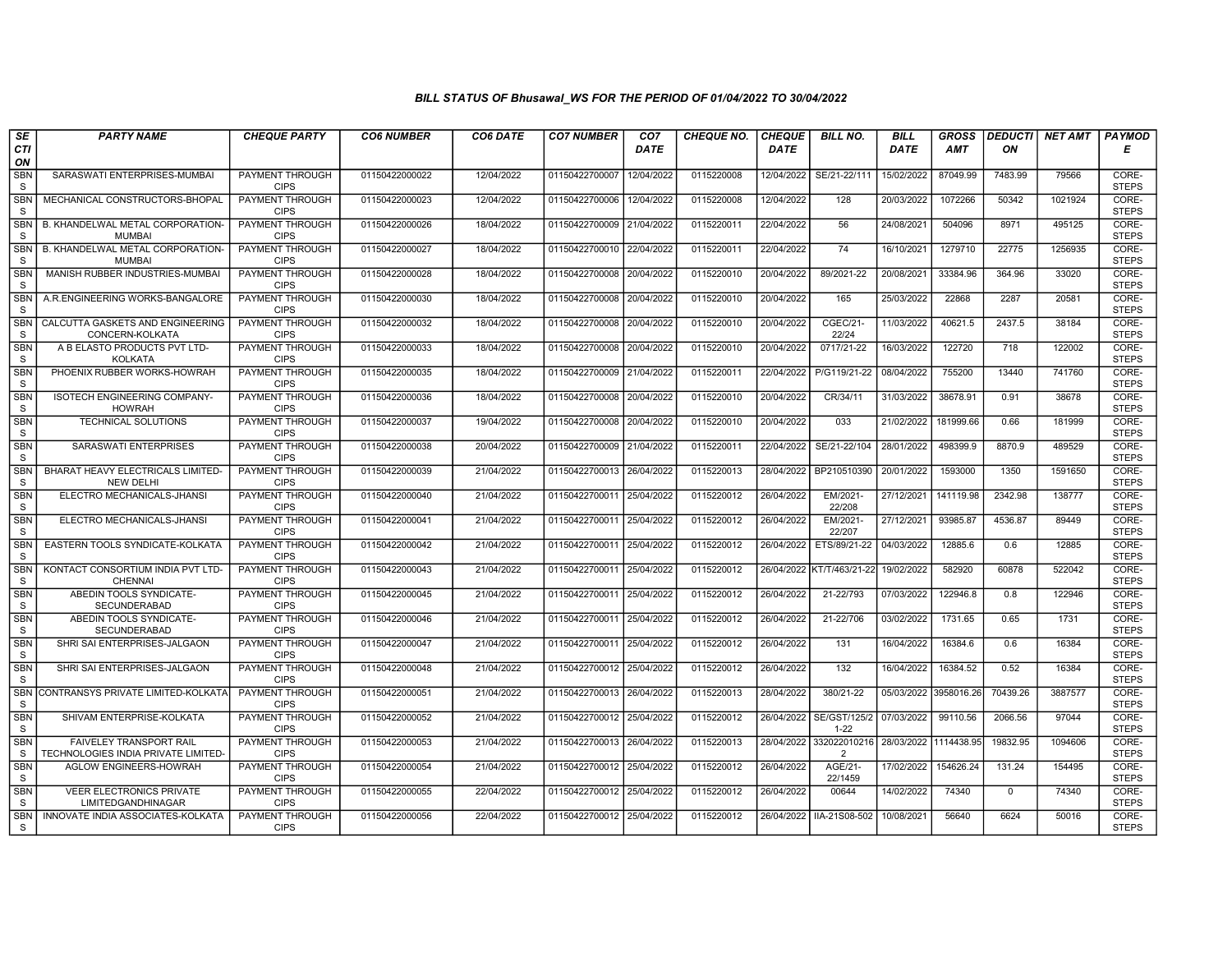| SE                         | <b>PARTY NAME</b>                                              | <b>CHEQUE PARTY</b>                   | <b>CO6 NUMBER</b> | CO6 DATE   | <b>CO7 NUMBER</b>         | CO <sub>7</sub> | <b>CHEQUE NO.</b> | <b>CHEQUE</b> | <b>BILL NO.</b>               | <b>BILL</b>           | <b>GROSS</b> | <b>DEDUCTI</b> | <b>NET AMT</b> | <b>PAYMOD</b>         |
|----------------------------|----------------------------------------------------------------|---------------------------------------|-------------------|------------|---------------------------|-----------------|-------------------|---------------|-------------------------------|-----------------------|--------------|----------------|----------------|-----------------------|
| CTI<br>ON                  |                                                                |                                       |                   |            |                           | <b>DATE</b>     |                   | <b>DATE</b>   |                               | <b>DATE</b>           | <b>AMT</b>   | ON             |                | Е                     |
| <b>SBN</b><br><sub>S</sub> | SARASWATI ENTERPRISES-MUMBAI                                   | <b>PAYMENT THROUGH</b><br><b>CIPS</b> | 01150422000022    | 12/04/2022 | 01150422700007            | 12/04/2022      | 0115220008        | 12/04/2022    | SE/21-22/111                  | 15/02/2022            | 87049.99     | 7483.99        | 79566          | CORE-<br><b>STEPS</b> |
| <b>SBN</b><br><sub>S</sub> | MECHANICAL CONSTRUCTORS-BHOPAL                                 | <b>PAYMENT THROUGH</b><br><b>CIPS</b> | 01150422000023    | 12/04/2022 | 01150422700006            | 12/04/2022      | 0115220008        | 12/04/2022    | 128                           | 20/03/2022            | 1072266      | 50342          | 1021924        | CORE-<br><b>STEPS</b> |
| SBN<br><sub>S</sub>        | B. KHANDELWAL METAL CORPORATION-<br><b>MUMBAI</b>              | PAYMENT THROUGH<br><b>CIPS</b>        | 01150422000026    | 18/04/2022 | 01150422700009            | 21/04/2022      | 0115220011        | 22/04/2022    | 56                            | 24/08/2021            | 504096       | 8971           | 495125         | CORE-<br><b>STEPS</b> |
| <b>SBN</b><br><sub>S</sub> | B. KHANDELWAL METAL CORPORATION-<br><b>MUMBAI</b>              | <b>PAYMENT THROUGH</b><br><b>CIPS</b> | 01150422000027    | 18/04/2022 | 01150422700010            | 22/04/2022      | 0115220011        | 22/04/2022    | 74                            | 16/10/2021            | 1279710      | 22775          | 1256935        | CORE-<br><b>STEPS</b> |
| SBN<br>S                   | MANISH RUBBER INDUSTRIES-MUMBAI                                | <b>PAYMENT THROUGH</b><br><b>CIPS</b> | 01150422000028    | 18/04/2022 | 01150422700008 20/04/2022 |                 | 0115220010        | 20/04/2022    | 89/2021-22                    | 20/08/2021            | 33384.96     | 364.96         | 33020          | CORE-<br><b>STEPS</b> |
| <b>SBN</b><br>S            | A.R.ENGINEERING WORKS-BANGALORE                                | <b>PAYMENT THROUGH</b><br><b>CIPS</b> | 01150422000030    | 18/04/2022 | 01150422700008            | 20/04/2022      | 0115220010        | 20/04/2022    | 165                           | 25/03/2022            | 22868        | 2287           | 20581          | CORE-<br><b>STEPS</b> |
| SBN<br>S                   | CALCUTTA GASKETS AND ENGINEERING<br>CONCERN-KOLKATA            | PAYMENT THROUGH<br><b>CIPS</b>        | 01150422000032    | 18/04/2022 | 01150422700008            | 20/04/2022      | 0115220010        | 20/04/2022    | CGEC/21-<br>22/24             | 11/03/2022            | 40621.5      | 2437.5         | 38184          | CORE-<br><b>STEPS</b> |
| <b>SBN</b><br>S            | A B ELASTO PRODUCTS PVT LTD-<br><b>KOLKATA</b>                 | PAYMENT THROUGH<br><b>CIPS</b>        | 01150422000033    | 18/04/2022 | 01150422700008            | 20/04/2022      | 0115220010        | 20/04/2022    | 0717/21-22                    | 16/03/2022            | 122720       | 718            | 122002         | CORE-<br><b>STEPS</b> |
| <b>SBN</b><br>S            | PHOENIX RUBBER WORKS-HOWRAH                                    | PAYMENT THROUGH<br><b>CIPS</b>        | 01150422000035    | 18/04/2022 | 01150422700009            | 21/04/2022      | 0115220011        | 22/04/2022    | P/G119/21-22                  | 08/04/2022            | 755200       | 13440          | 741760         | CORE-<br><b>STEPS</b> |
| <b>SBN</b><br>S            | <b>ISOTECH ENGINEERING COMPANY-</b><br><b>HOWRAH</b>           | <b>PAYMENT THROUGH</b><br><b>CIPS</b> | 01150422000036    | 18/04/2022 | 01150422700008 20/04/2022 |                 | 0115220010        | 20/04/2022    | CR/34/11                      | 31/03/2022            | 38678.91     | 0.91           | 38678          | CORE-<br><b>STEPS</b> |
| SBN<br>S                   | <b>TECHNICAL SOLUTIONS</b>                                     | PAYMENT THROUGH<br><b>CIPS</b>        | 01150422000037    | 19/04/2022 | 01150422700008            | 20/04/2022      | 0115220010        | 20/04/2022    | 033                           | 21/02/2022            | 181999.66    | 0.66           | 181999         | CORE-<br><b>STEPS</b> |
| <b>SBN</b><br>S            | SARASWATI ENTERPRISES                                          | PAYMENT THROUGH<br><b>CIPS</b>        | 01150422000038    | 20/04/2022 | 01150422700009            | 21/04/2022      | 0115220011        | 22/04/2022    | SE/21-22/104                  | 28/01/2022            | 498399.9     | 8870.9         | 489529         | CORE-<br><b>STEPS</b> |
| <b>SBN</b><br>S            | BHARAT HEAVY ELECTRICALS LIMITED-<br><b>NEW DELHI</b>          | <b>PAYMENT THROUGH</b><br><b>CIPS</b> | 01150422000039    | 21/04/2022 | 01150422700013            | 26/04/2022      | 0115220013        | 28/04/2022    | BP210510390                   | 20/01/2022            | 1593000      | 1350           | 1591650        | CORE-<br><b>STEPS</b> |
| <b>SBN</b><br>${\tt S}$    | ELECTRO MECHANICALS-JHANSI                                     | <b>PAYMENT THROUGH</b><br><b>CIPS</b> | 01150422000040    | 21/04/2022 | 01150422700011            | 25/04/2022      | 0115220012        | 26/04/2022    | EM/2021-<br>22/208            | 27/12/2021            | 141119.98    | 2342.98        | 138777         | CORE-<br><b>STEPS</b> |
| SBN<br>S                   | ELECTRO MECHANICALS-JHANSI                                     | PAYMENT THROUGH<br><b>CIPS</b>        | 01150422000041    | 21/04/2022 | 01150422700011            | 25/04/2022      | 0115220012        | 26/04/2022    | EM/2021-<br>22/207            | 27/12/2021            | 93985.87     | 4536.87        | 89449          | CORE-<br><b>STEPS</b> |
| <b>SBN</b><br>S            | EASTERN TOOLS SYNDICATE-KOLKATA                                | PAYMENT THROUGH<br><b>CIPS</b>        | 01150422000042    | 21/04/2022 | 01150422700011            | 25/04/2022      | 0115220012        | 26/04/2022    | ETS/89/21-22                  | 04/03/2022            | 12885.6      | 0.6            | 12885          | CORE-<br><b>STEPS</b> |
| <b>SBN</b><br>S            | KONTACT CONSORTIUM INDIA PVT LTD-<br><b>CHENNAI</b>            | PAYMENT THROUGH<br><b>CIPS</b>        | 01150422000043    | 21/04/2022 | 0115042270001             | 25/04/2022      | 0115220012        |               | 26/04/2022 KT/T/463/21-22     | 19/02/2022            | 582920       | 60878          | 522042         | CORE-<br><b>STEPS</b> |
| <b>SBN</b><br>S            | ABEDIN TOOLS SYNDICATE-<br>SECUNDERABAD                        | <b>PAYMENT THROUGH</b><br><b>CIPS</b> | 01150422000045    | 21/04/2022 | 0115042270001             | 25/04/2022      | 0115220012        | 26/04/2022    | 21-22/793                     | 07/03/2022            | 122946.8     | 0.8            | 122946         | CORE-<br><b>STEPS</b> |
| SBN<br>S                   | ABEDIN TOOLS SYNDICATE-<br><b>SECUNDERABAD</b>                 | PAYMENT THROUGH<br><b>CIPS</b>        | 01150422000046    | 21/04/2022 | 01150422700011            | 25/04/2022      | 0115220012        | 26/04/2022    | 21-22/706                     | 03/02/2022            | 1731.65      | 0.65           | 1731           | CORE-<br><b>STEPS</b> |
| SBN<br>S                   | SHRI SAI ENTERPRISES-JALGAON                                   | PAYMENT THROUGH<br><b>CIPS</b>        | 01150422000047    | 21/04/2022 | 01150422700011            | 25/04/2022      | 0115220012        | 26/04/2022    | 131                           | 16/04/2022            | 16384.6      | 0.6            | 16384          | CORE-<br><b>STEPS</b> |
| <b>SBN</b><br><sub>S</sub> | SHRI SAI ENTERPRISES-JALGAON                                   | PAYMENT THROUGH<br><b>CIPS</b>        | 01150422000048    | 21/04/2022 | 01150422700012            | 25/04/2022      | 0115220012        | 26/04/2022    | 132                           | 16/04/2022            | 16384.52     | 0.52           | 16384          | CORE-<br><b>STEPS</b> |
| <b>SBN</b><br>S            | CONTRANSYS PRIVATE LIMITED-KOLKATA                             | <b>PAYMENT THROUGH</b><br><b>CIPS</b> | 01150422000051    | 21/04/2022 | 01150422700013            | 26/04/2022      | 0115220013        | 28/04/2022    | 380/21-22                     | 05/03/2022 3958016.26 |              | 70439.26       | 3887577        | CORE-<br><b>STEPS</b> |
| <b>SBN</b><br><sub>S</sub> | SHIVAM ENTERPRISE-KOLKATA                                      | PAYMENT THROUGH<br><b>CIPS</b>        | 01150422000052    | 21/04/2022 | 01150422700012            | 25/04/2022      | 0115220012        | 26/04/2022    | SE/GST/125/2<br>$1 - 22$      | 07/03/2022            | 99110.56     | 2066.56        | 97044          | CORE-<br><b>STEPS</b> |
| <b>SBN</b><br>S            | FAIVELEY TRANSPORT RAIL<br>TECHNOLOGIES INDIA PRIVATE LIMITED- | PAYMENT THROUGH<br><b>CIPS</b>        | 01150422000053    | 21/04/2022 | 01150422700013            | 26/04/2022      | 0115220013        | 28/04/2022    | 332022010216<br>$\mathcal{P}$ | 28/03/2022 1114438.95 |              | 19832.95       | 1094606        | CORE-<br><b>STEPS</b> |
| SBN<br>S                   | <b>AGLOW ENGINEERS-HOWRAH</b>                                  | PAYMENT THROUGH<br><b>CIPS</b>        | 01150422000054    | 21/04/2022 | 01150422700012 25/04/2022 |                 | 0115220012        | 26/04/2022    | AGE/21-<br>22/1459            | 17/02/2022            | 154626.24    | 131.24         | 154495         | CORE-<br><b>STEPS</b> |
| <b>SBN</b><br>S.           | <b>VEER ELECTRONICS PRIVATE</b><br><b>LIMITEDGANDHINAGAR</b>   | <b>PAYMENT THROUGH</b><br><b>CIPS</b> | 01150422000055    | 22/04/2022 | 01150422700012            | 25/04/2022      | 0115220012        | 26/04/2022    | 00644                         | 14/02/2022            | 74340        | $\mathbf{0}$   | 74340          | CORE-<br><b>STEPS</b> |
| <b>SBN</b><br>S.           | INNOVATE INDIA ASSOCIATES-KOLKATA                              | PAYMENT THROUGH<br><b>CIPS</b>        | 01150422000056    | 22/04/2022 | 01150422700012 25/04/2022 |                 | 0115220012        |               | 26/04/2022   IIA-21S08-502    | 10/08/2021            | 56640        | 6624           | 50016          | CORE-<br><b>STEPS</b> |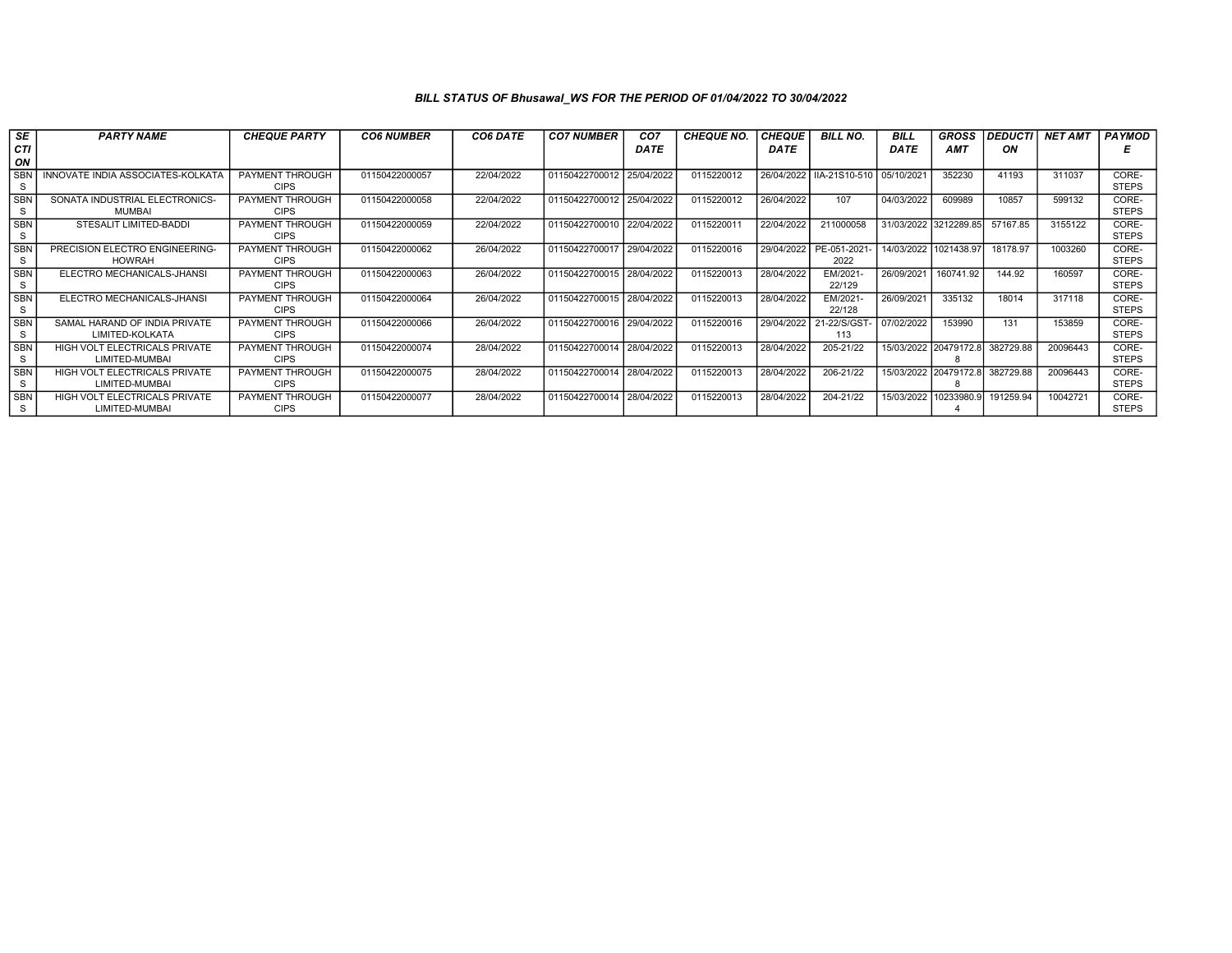| <b>SE</b><br>CТI           | <b>PARTY NAME</b>                                | <b>CHEQUE PARTY</b>                   | <b>CO6 NUMBER</b> | CO6 DATE   | <b>CO7 NUMBER</b>         | CO <sub>7</sub><br><b>DATE</b> | <b>CHEQUE NO.</b> | <b>CHEQUE</b><br><b>DATE</b> | <b>BILL NO.</b>     | <b>BILL</b><br><b>DATE</b> | <b>GROSS</b><br><b>AMT</b> | <b>DEDUCTI</b><br>ON | <b>NET AMT</b> | <b>PAYMOD</b>         |
|----------------------------|--------------------------------------------------|---------------------------------------|-------------------|------------|---------------------------|--------------------------------|-------------------|------------------------------|---------------------|----------------------------|----------------------------|----------------------|----------------|-----------------------|
| ON                         |                                                  |                                       |                   |            |                           |                                |                   |                              |                     |                            |                            |                      |                |                       |
| <b>SBN</b><br>-S           | INNOVATE INDIA ASSOCIATES-KOLKATA                | <b>PAYMENT THROUGH</b><br><b>CIPS</b> | 01150422000057    | 22/04/2022 | 01150422700012 25/04/2022 |                                | 0115220012        | 26/04/2022                   | IIA-21S10-510       | 05/10/2021                 | 352230                     | 41193                | 311037         | CORE-<br><b>STEPS</b> |
| <b>SBN</b><br><b>S</b>     | SONATA INDUSTRIAL ELECTRONICS-<br>MUMBAI         | PAYMENT THROUGH<br><b>CIPS</b>        | 01150422000058    | 22/04/2022 | 01150422700012 25/04/2022 |                                | 0115220012        | 26/04/2022                   | 107                 | 04/03/2022                 | 609989                     | 10857                | 599132         | CORE-<br><b>STEPS</b> |
| <b>SBN</b><br>S.           | STESALIT LIMITED-BADDI                           | PAYMENT THROUGH<br><b>CIPS</b>        | 01150422000059    | 22/04/2022 | 01150422700010 22/04/2022 |                                | 0115220011        | 22/04/2022                   | 211000058           | 31/03/2022 3212289.85      |                            | 57167.85             | 3155122        | CORE-<br><b>STEPS</b> |
| <b>SBN</b><br><b>S</b>     | PRECISION ELECTRO ENGINEERING-<br><b>HOWRAH</b>  | PAYMENT THROUGH<br><b>CIPS</b>        | 01150422000062    | 26/04/2022 | 01150422700017 29/04/2022 |                                | 0115220016        | 29/04/2022                   | PE-051-2021<br>2022 |                            | 14/03/2022 1021438.97      | 18178.97             | 1003260        | CORE-<br><b>STEPS</b> |
| <b>SBN</b><br>S            | ELECTRO MECHANICALS-JHANSI                       | PAYMENT THROUGH<br><b>CIPS</b>        | 01150422000063    | 26/04/2022 | 01150422700015 28/04/2022 |                                | 0115220013        | 28/04/2022                   | EM/2021-<br>22/129  | 26/09/2021                 | 160741.92                  | 144.92               | 160597         | CORE-<br><b>STEPS</b> |
| <b>SBN</b><br>S.           | ELECTRO MECHANICALS-JHANSI                       | PAYMENT THROUGH<br><b>CIPS</b>        | 01150422000064    | 26/04/2022 | 01150422700015 28/04/2022 |                                | 0115220013        | 28/04/2022                   | EM/2021-<br>22/128  | 26/09/2021                 | 335132                     | 18014                | 317118         | CORE-<br><b>STEPS</b> |
| SBN<br>s                   | SAMAL HARAND OF INDIA PRIVATE<br>LIMITED-KOLKATA | PAYMENT THROUGH<br><b>CIPS</b>        | 01150422000066    | 26/04/2022 | 01150422700016 29/04/2022 |                                | 0115220016        | 29/04/2022                   | 21-22/S/GST<br>113  | 07/02/2022                 | 153990                     | 131                  | 153859         | CORE-<br><b>STEPS</b> |
| <b>SBN</b><br>S            | HIGH VOLT ELECTRICALS PRIVATE<br>LIMITED-MUMBAI  | PAYMENT THROUGH<br><b>CIPS</b>        | 01150422000074    | 28/04/2022 | 01150422700014 28/04/2022 |                                | 0115220013        | 28/04/2022                   | 205-21/22           |                            | 15/03/2022 20479172.8      | 382729.88            | 20096443       | CORE-<br><b>STEPS</b> |
| <b>SBN</b><br>S.           | HIGH VOLT ELECTRICALS PRIVATE<br>LIMITED-MUMBAI  | PAYMENT THROUGH<br><b>CIPS</b>        | 01150422000075    | 28/04/2022 | 01150422700014 28/04/2022 |                                | 0115220013        | 28/04/2022                   | 206-21/22           | 15/03/2022 20479172.8      |                            | 382729.88            | 20096443       | CORE-<br><b>STEPS</b> |
| <b>SBN</b><br><sub>S</sub> | HIGH VOLT ELECTRICALS PRIVATE<br>LIMITED-MUMBAI  | PAYMENT THROUGH<br><b>CIPS</b>        | 01150422000077    | 28/04/2022 | 01150422700014            | 28/04/2022                     | 0115220013        | 28/04/2022                   | 204-21/22           | 15/03/2022                 | 10233980.9                 | 191259.94            | 10042721       | CORE-<br><b>STEPS</b> |